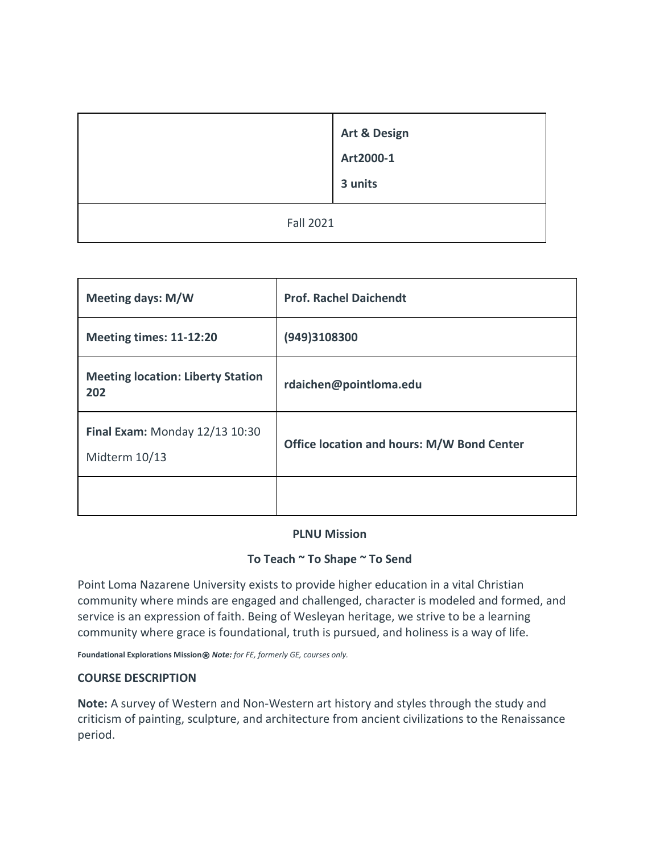|                  | <b>Art &amp; Design</b><br>Art2000-1<br>3 units |  |
|------------------|-------------------------------------------------|--|
| <b>Fall 2021</b> |                                                 |  |

| <b>Meeting days: M/W</b>                        | <b>Prof. Rachel Daichendt</b>                     |  |
|-------------------------------------------------|---------------------------------------------------|--|
| Meeting times: 11-12:20                         | (949)3108300                                      |  |
| <b>Meeting location: Liberty Station</b><br>202 | rdaichen@pointloma.edu                            |  |
| Final Exam: Monday 12/13 10:30<br>Midterm 10/13 | <b>Office location and hours: M/W Bond Center</b> |  |
|                                                 |                                                   |  |

### **PLNU Mission**

### **To Teach ~ To Shape ~ To Send**

Point Loma Nazarene University exists to provide higher education in a vital Christian community where minds are engaged and challenged, character is modeled and formed, and service is an expression of faith. Being of Wesleyan heritage, we strive to be a learning community where grace is foundational, truth is pursued, and holiness is a way of life.

**Foundational Explorations Mission**⍟ *Note: for FE, formerly GE, courses only.*

### **COURSE DESCRIPTION**

**Note:** A survey of Western and Non-Western art history and styles through the study and criticism of painting, sculpture, and architecture from ancient civilizations to the Renaissance period.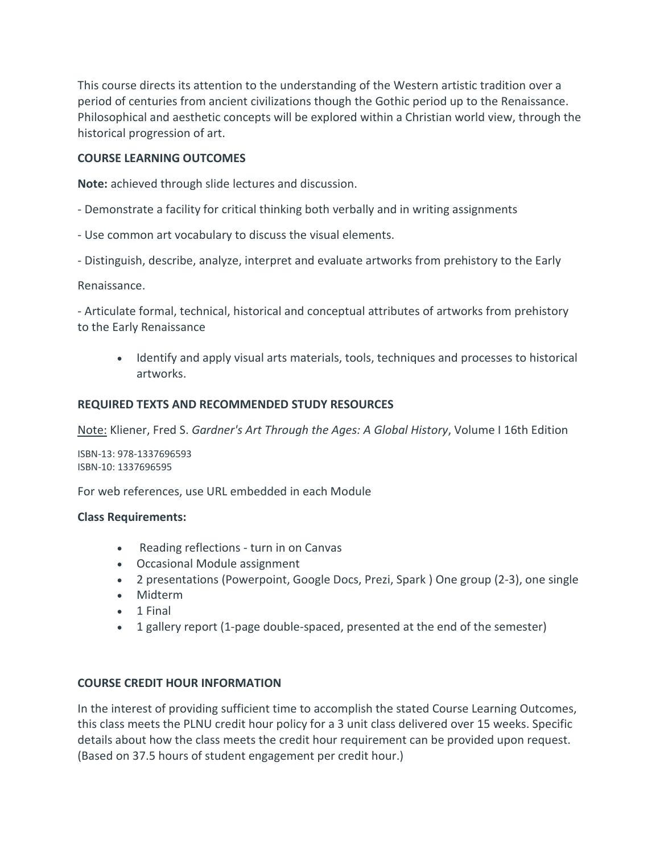This course directs its attention to the understanding of the Western artistic tradition over a period of centuries from ancient civilizations though the Gothic period up to the Renaissance. Philosophical and aesthetic concepts will be explored within a Christian world view, through the historical progression of art.

#### **COURSE LEARNING OUTCOMES**

**Note:** achieved through slide lectures and discussion.

- Demonstrate a facility for critical thinking both verbally and in writing assignments
- Use common art vocabulary to discuss the visual elements.
- Distinguish, describe, analyze, interpret and evaluate artworks from prehistory to the Early

Renaissance.

- Articulate formal, technical, historical and conceptual attributes of artworks from prehistory to the Early Renaissance

• Identify and apply visual arts materials, tools, techniques and processes to historical artworks.

#### **REQUIRED TEXTS AND RECOMMENDED STUDY RESOURCES**

Note: Kliener, Fred S. *Gardner's Art Through the Ages: A Global History*, Volume I 16th Edition

ISBN-13: 978-1337696593 ISBN-10: 1337696595

For web references, use URL embedded in each Module

#### **Class Requirements:**

- Reading reflections turn in on Canvas
- Occasional Module assignment
- 2 presentations (Powerpoint, Google Docs, Prezi, Spark ) One group (2-3), one single
- Midterm
- 1 Final
- 1 gallery report (1-page double-spaced, presented at the end of the semester)

#### **COURSE CREDIT HOUR INFORMATION**

In the interest of providing sufficient time to accomplish the stated Course Learning Outcomes, this class meets the PLNU credit hour policy for a 3 unit class delivered over 15 weeks. Specific details about how the class meets the credit hour requirement can be provided upon request. (Based on 37.5 hours of student engagement per credit hour.)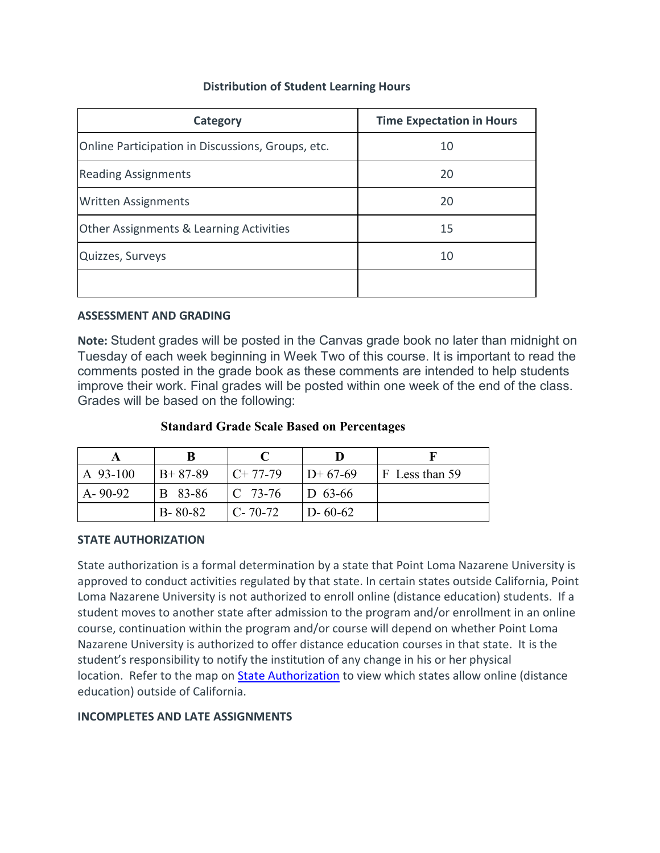## **Distribution of Student Learning Hours**

| Category                                          | <b>Time Expectation in Hours</b> |  |
|---------------------------------------------------|----------------------------------|--|
| Online Participation in Discussions, Groups, etc. | 10                               |  |
| <b>Reading Assignments</b>                        | 20                               |  |
| <b>Written Assignments</b>                        | 20                               |  |
| Other Assignments & Learning Activities           | 15                               |  |
| Quizzes, Surveys                                  | 10                               |  |
|                                                   |                                  |  |

### **ASSESSMENT AND GRADING**

**Note:** Student grades will be posted in the Canvas grade book no later than midnight on Tuesday of each week beginning in Week Two of this course. It is important to read the comments posted in the grade book as these comments are intended to help students improve their work. Final grades will be posted within one week of the end of the class. Grades will be based on the following:

### **Standard Grade Scale Based on Percentages**

|               | В              |             |               |                        |
|---------------|----------------|-------------|---------------|------------------------|
| A 93-100      | $B+87-89$      | $C+77-79$   | $ID+67-69$    | $\vert$ F Less than 59 |
| $A - 90 - 92$ | <b>B</b> 83-86 | $ C 73-76 $ | $ D 63-66 $   |                        |
|               | $B - 80 - 82$  | $ C-70-72 $ | $D - 60 - 62$ |                        |

### **STATE AUTHORIZATION**

State authorization is a formal determination by a state that Point Loma Nazarene University is approved to conduct activities regulated by that state. In certain states outside California, Point Loma Nazarene University is not authorized to enroll online (distance education) students. If a student moves to another state after admission to the program and/or enrollment in an online course, continuation within the program and/or course will depend on whether Point Loma Nazarene University is authorized to offer distance education courses in that state. It is the student's responsibility to notify the institution of any change in his or her physical location. Refer to the map on [State Authorization](https://www.pointloma.edu/offices/office-institutional-effectiveness-research/disclosures) to view which states allow online (distance education) outside of California.

### **INCOMPLETES AND LATE ASSIGNMENTS**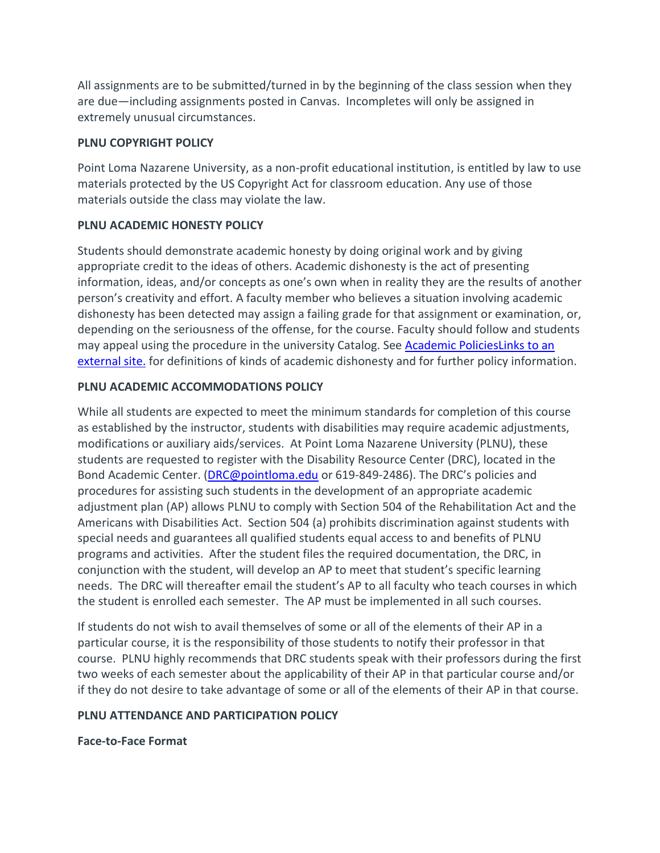All assignments are to be submitted/turned in by the beginning of the class session when they are due—including assignments posted in Canvas. Incompletes will only be assigned in extremely unusual circumstances.

## **PLNU COPYRIGHT POLICY**

Point Loma Nazarene University, as a non-profit educational institution, is entitled by law to use materials protected by the US Copyright Act for classroom education. Any use of those materials outside the class may violate the law.

### **PLNU ACADEMIC HONESTY POLICY**

Students should demonstrate academic honesty by doing original work and by giving appropriate credit to the ideas of others. Academic dishonesty is the act of presenting information, ideas, and/or concepts as one's own when in reality they are the results of another person's creativity and effort. A faculty member who believes a situation involving academic dishonesty has been detected may assign a failing grade for that assignment or examination, or, depending on the seriousness of the offense, for the course. Faculty should follow and students may appeal using the procedure in the university Catalog. See [Academic PoliciesLinks](http://catalog.pointloma.edu/content.php?catoid=18&navoid=1278) to an [external](http://catalog.pointloma.edu/content.php?catoid=18&navoid=1278) site. for definitions of kinds of academic dishonesty and for further policy information.

### **PLNU ACADEMIC ACCOMMODATIONS POLICY**

While all students are expected to meet the minimum standards for completion of this course as established by the instructor, students with disabilities may require academic adjustments, modifications or auxiliary aids/services. At Point Loma Nazarene University (PLNU), these students are requested to register with the Disability Resource Center (DRC), located in the Bond Academic Center. [\(DRC@pointloma.edu](mailto:DRC@pointloma.edu) or 619-849-2486). The DRC's policies and procedures for assisting such students in the development of an appropriate academic adjustment plan (AP) allows PLNU to comply with Section 504 of the Rehabilitation Act and the Americans with Disabilities Act. Section 504 (a) prohibits discrimination against students with special needs and guarantees all qualified students equal access to and benefits of PLNU programs and activities. After the student files the required documentation, the DRC, in conjunction with the student, will develop an AP to meet that student's specific learning needs. The DRC will thereafter email the student's AP to all faculty who teach courses in which the student is enrolled each semester. The AP must be implemented in all such courses.

If students do not wish to avail themselves of some or all of the elements of their AP in a particular course, it is the responsibility of those students to notify their professor in that course. PLNU highly recommends that DRC students speak with their professors during the first two weeks of each semester about the applicability of their AP in that particular course and/or if they do not desire to take advantage of some or all of the elements of their AP in that course.

### **PLNU ATTENDANCE AND PARTICIPATION POLICY**

**Face-to-Face Format**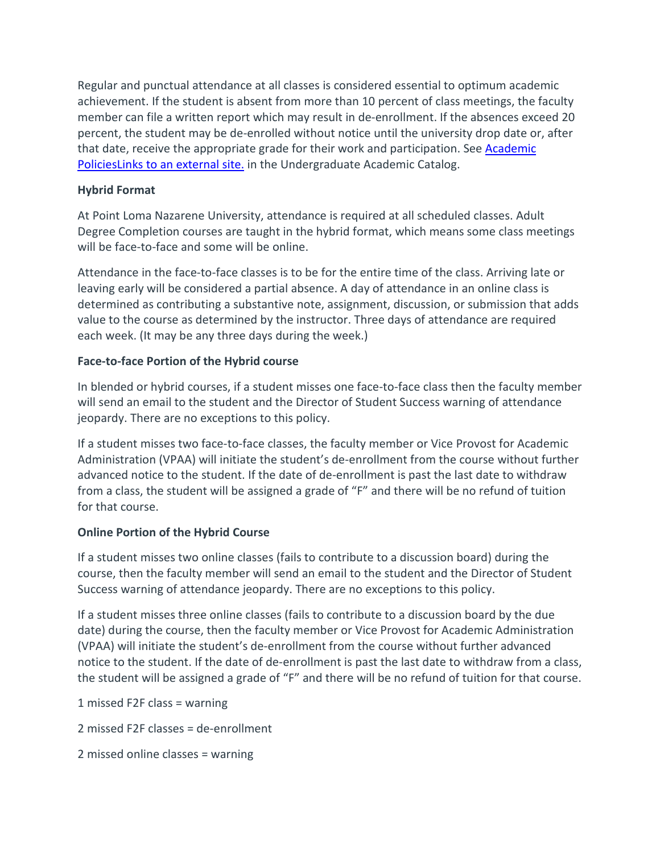Regular and punctual attendance at all classes is considered essential to optimum academic achievement. If the student is absent from more than 10 percent of class meetings, the faculty member can file a written report which may result in de-enrollment. If the absences exceed 20 percent, the student may be de-enrolled without notice until the university drop date or, after that date, receive the appropriate grade for their work and participation. See [Academic](http://catalog.pointloma.edu/content.php?catoid=18&navoid=1278)  [PoliciesLinks](http://catalog.pointloma.edu/content.php?catoid=18&navoid=1278) to an external site. in the Undergraduate Academic Catalog.

## **Hybrid Format**

At Point Loma Nazarene University, attendance is required at all scheduled classes. Adult Degree Completion courses are taught in the hybrid format, which means some class meetings will be face-to-face and some will be online.

Attendance in the face-to-face classes is to be for the entire time of the class. Arriving late or leaving early will be considered a partial absence. A day of attendance in an online class is determined as contributing a substantive note, assignment, discussion, or submission that adds value to the course as determined by the instructor. Three days of attendance are required each week. (It may be any three days during the week.)

## **Face-to-face Portion of the Hybrid course**

In blended or hybrid courses, if a student misses one face-to-face class then the faculty member will send an email to the student and the Director of Student Success warning of attendance jeopardy. There are no exceptions to this policy.

If a student misses two face-to-face classes, the faculty member or Vice Provost for Academic Administration (VPAA) will initiate the student's de-enrollment from the course without further advanced notice to the student. If the date of de-enrollment is past the last date to withdraw from a class, the student will be assigned a grade of "F" and there will be no refund of tuition for that course.

# **Online Portion of the Hybrid Course**

If a student misses two online classes (fails to contribute to a discussion board) during the course, then the faculty member will send an email to the student and the Director of Student Success warning of attendance jeopardy. There are no exceptions to this policy.

If a student misses three online classes (fails to contribute to a discussion board by the due date) during the course, then the faculty member or Vice Provost for Academic Administration (VPAA) will initiate the student's de-enrollment from the course without further advanced notice to the student. If the date of de-enrollment is past the last date to withdraw from a class, the student will be assigned a grade of "F" and there will be no refund of tuition for that course.

1 missed F2F class = warning

2 missed F2F classes = de-enrollment

2 missed online classes = warning